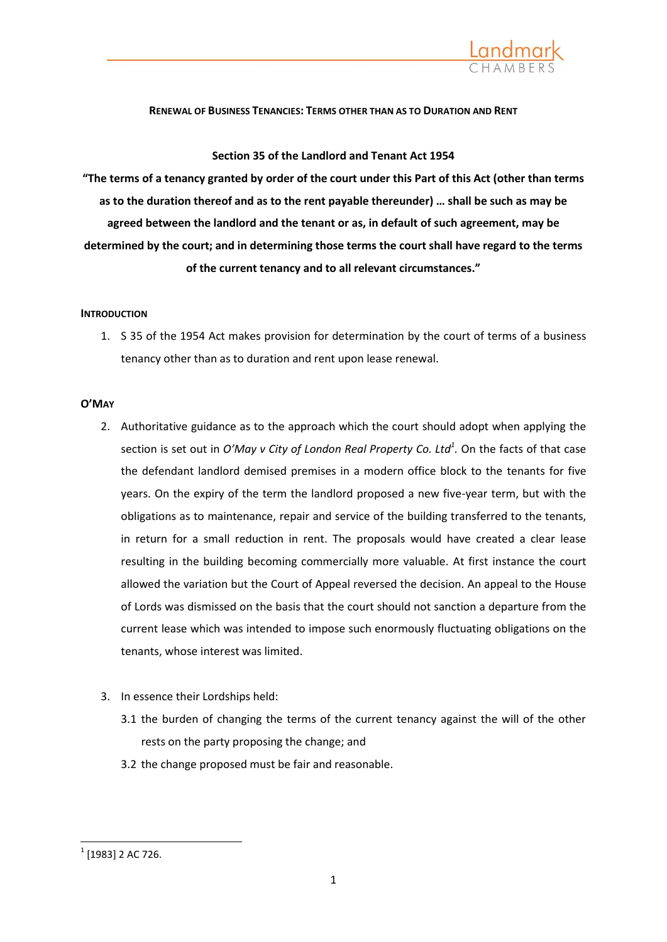

## **RENEWAL OF BUSINESS TENANCIES: TERMS OTHER THAN AS TO DURATION AND RENT**

**Section 35 of the Landlord and Tenant Act 1954**

**"The terms of a tenancy granted by order of the court under this Part of this Act (other than terms as to the duration thereof and as to the rent payable thereunder) … shall be such as may be agreed between the landlord and the tenant or as, in default of such agreement, may be determined by the court; and in determining those terms the court shall have regard to the terms of the current tenancy and to all relevant circumstances."**

## **INTRODUCTION**

1. S 35 of the 1954 Act makes provision for determination by the court of terms of a business tenancy other than as to duration and rent upon lease renewal.

## **O'MAY**

- 2. Authoritative guidance as to the approach which the court should adopt when applying the section is set out in *O'May v City of London Real Property Co. Ltd<sup>1</sup> .* On the facts of that case the defendant landlord demised premises in a modern office block to the tenants for five years. On the expiry of the term the landlord proposed a new five-year term, but with the obligations as to maintenance, repair and service of the building transferred to the tenants, in return for a small reduction in rent. The proposals would have created a clear lease resulting in the building becoming commercially more valuable. At first instance the court allowed the variation but the Court of Appeal reversed the decision. An appeal to the House of Lords was dismissed on the basis that the court should not sanction a departure from the current lease which was intended to impose such enormously fluctuating obligations on the tenants, whose interest was limited.
- 3. In essence their Lordships held:
	- 3.1 the burden of changing the terms of the current tenancy against the will of the other rests on the party proposing the change; and
	- 3.2 the change proposed must be fair and reasonable.

 $^{1}$  [1983] 2 AC 726.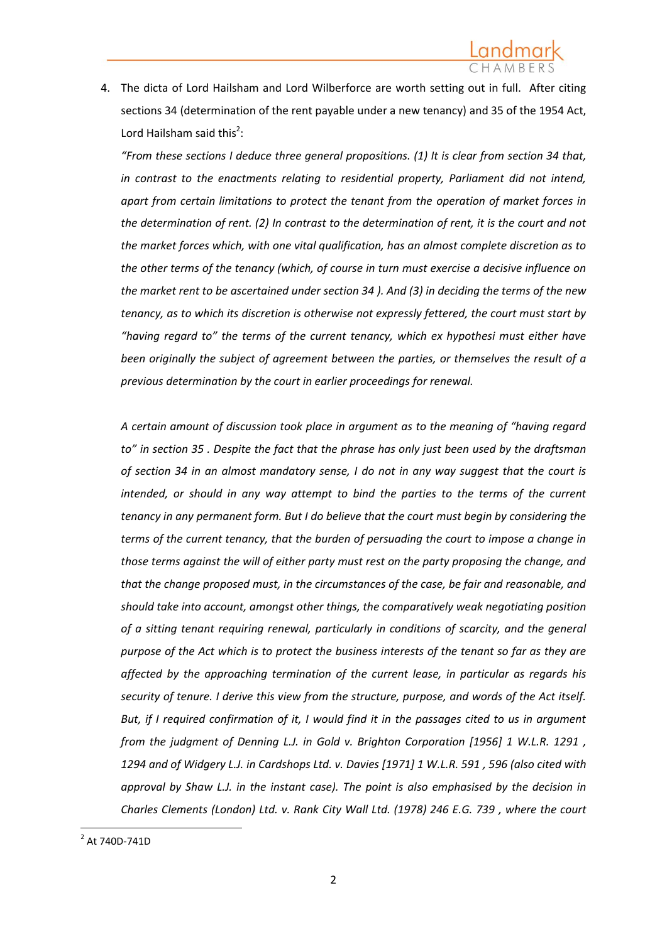4. The dicta of Lord Hailsham and Lord Wilberforce are worth setting out in full. After citing [sections 34 \(determination of the rent payable under a new tenancy\) and 35](http://login.westlaw.co.uk/maf/wluk/app/document?src=doc&linktype=ref&&context=4&crumb-action=replace&docguid=I6A357F00E44811DA8D70A0E70A78ED65) of the 1954 Act, Lord Hailsham said this<sup>2</sup>:

*"From these sections I deduce three general propositions. (1) It is clear from [section 34](http://login.westlaw.co.uk/maf/wluk/app/document?src=doc&linktype=ref&&context=4&crumb-action=replace&docguid=I6A357F00E44811DA8D70A0E70A78ED65) that, in contrast to the enactments relating to residential property, Parliament did not intend, apart from certain limitations to protect the tenant from the operation of market forces in the determination of rent. (2) In contrast to the determination of rent, it is the court and not the market forces which, with one vital qualification, has an almost complete discretion as to the other terms of the tenancy (which, of course in turn must exercise a decisive influence on the market rent to be ascertained unde[r section 34](http://login.westlaw.co.uk/maf/wluk/app/document?src=doc&linktype=ref&&context=4&crumb-action=replace&docguid=I6A357F00E44811DA8D70A0E70A78ED65) ). And (3) in deciding the terms of the new tenancy, as to which its discretion is otherwise not expressly fettered, the court must start by "having regard to" the terms of the current tenancy, which ex hypothesi must either have been originally the subject of agreement between the parties, or themselves the result of a previous determination by the court in earlier proceedings for renewal.*

*A certain amount of discussion took place in argument as to the meaning of "having regard to" in [section 35](http://login.westlaw.co.uk/maf/wluk/app/document?src=doc&linktype=ref&&context=4&crumb-action=replace&docguid=I6A369070E44811DA8D70A0E70A78ED65) . Despite the fact that the phrase has only just been used by the draftsman of [section 34](http://login.westlaw.co.uk/maf/wluk/app/document?src=doc&linktype=ref&&context=4&crumb-action=replace&docguid=I6A357F00E44811DA8D70A0E70A78ED65) in an almost mandatory sense, I do not in any way suggest that the court is intended, or should in any way attempt to bind the parties to the terms of the current tenancy in any permanent form. But I do believe that the court must begin by considering the terms of the current tenancy, that the burden of persuading the court to impose a change in those terms against the will of either party must rest on the party proposing the change, and that the change proposed must, in the circumstances of the case, be fair and reasonable, and should take into account, amongst other things, the comparatively weak negotiating position of a sitting tenant requiring renewal, particularly in conditions of scarcity, and the general purpose of the Act which is to protect the business interests of the tenant so far as they are affected by the approaching termination of the current lease, in particular as regards his security of tenure. I derive this view from the structure, purpose, and words of the Act itself. But, if I required confirmation of it, I would find it in the passages cited to us in argument from the judgment of Denning L.J. in [Gold v. Brighton Corporation \[1956\] 1 W.L.R. 1291](http://login.westlaw.co.uk/maf/wluk/app/document?src=doc&linktype=ref&&context=4&crumb-action=replace&docguid=IB22C34F0E42711DA8FC2A0F0355337E9) , 1294 and of Widgery L.J. i[n Cardshops Ltd. v. Davies \[1971\] 1 W.L.R. 591](http://login.westlaw.co.uk/maf/wluk/app/document?src=doc&linktype=ref&&context=4&crumb-action=replace&docguid=I82535DD1E42711DA8FC2A0F0355337E9) , 596 (also cited with approval by Shaw L.J. in the instant case). The point is also emphasised by the decision in [Charles Clements \(London\) Ltd. v. Rank](http://login.westlaw.co.uk/maf/wluk/app/document?src=doc&linktype=ref&&context=4&crumb-action=replace&docguid=I4F8D7B10E43611DA8FC2A0F0355337E9) City Wall Ltd. (1978) 246 E.G. 739 , where the court* 

 2 At 740D-741D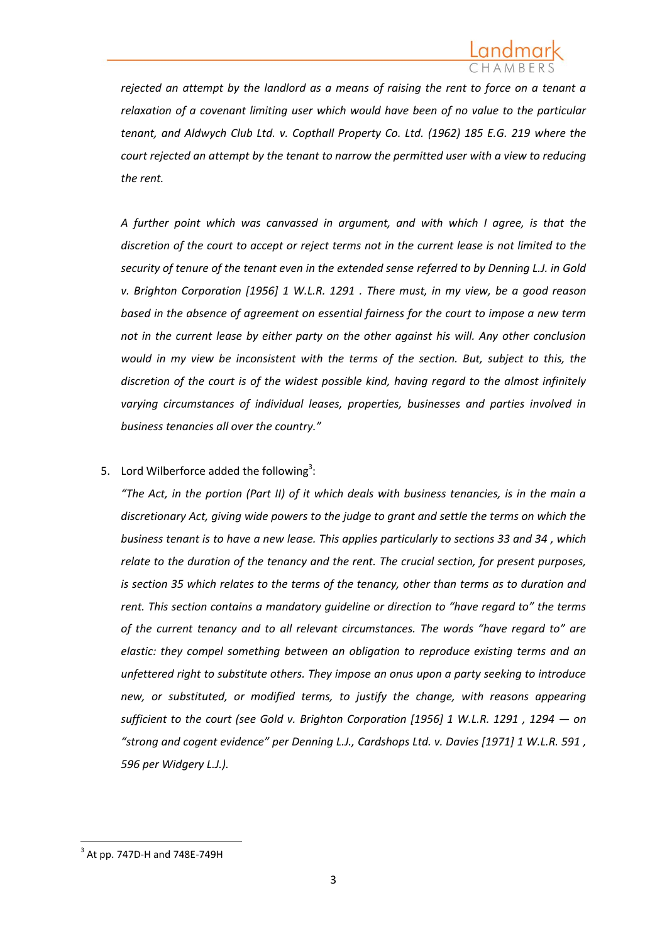*rejected an attempt by the landlord as a means of raising the rent to force on a tenant a relaxation of a covenant limiting user which would have been of no value to the particular tenant, and [Aldwych Club Ltd. v. Copthall Property Co. Ltd. \(1962\) 185 E.G. 219](http://login.westlaw.co.uk/maf/wluk/app/document?src=doc&linktype=ref&&context=4&crumb-action=replace&docguid=I32441320E43611DA8FC2A0F0355337E9) where the court rejected an attempt by the tenant to narrow the permitted user with a view to reducing the rent.*

*A further point which was canvassed in argument, and with which I agree, is that the discretion of the court to accept or reject terms not in the current lease is not limited to the security of tenure of the tenant even in the extended sense [referred to by Denning L.J. in Gold](http://login.westlaw.co.uk/maf/wluk/app/document?src=doc&linktype=ref&&context=4&crumb-action=replace&docguid=IB22C34F0E42711DA8FC2A0F0355337E9)  [v. Brighton Corporation \[1956\] 1 W.L.R. 1291](http://login.westlaw.co.uk/maf/wluk/app/document?src=doc&linktype=ref&&context=4&crumb-action=replace&docguid=IB22C34F0E42711DA8FC2A0F0355337E9) . There must, in my view, be a good reason based in the absence of agreement on essential fairness for the court to impose a new term not in the current lease by either party on the other against his will. Any other conclusion would in my view be inconsistent with the terms of the section. But, subject to this, the discretion of the court is of the widest possible kind, having regard to the almost infinitely varying circumstances of individual leases, properties, businesses and parties involved in business tenancies all over the country."*

## 5. Lord Wilberforce added the following<sup>3</sup>:

*"The Act, in the portion (Part II) of it which deals with business tenancies, is in the main a discretionary Act, giving wide powers to the judge to grant and settle the terms on which the business tenant is to have a new lease. This applies particularly to [sections 33 and 34](http://login.westlaw.co.uk/maf/wluk/app/document?src=doc&linktype=ref&&context=4&crumb-action=replace&docguid=I6A34E2C0E44811DA8D70A0E70A78ED65) , which relate to the duration of the tenancy and the rent. The crucial section, for present purposes, is [section 35](http://login.westlaw.co.uk/maf/wluk/app/document?src=doc&linktype=ref&&context=4&crumb-action=replace&docguid=I6A369070E44811DA8D70A0E70A78ED65) which relates to the terms of the tenancy, other than terms as to duration and rent. This section contains a mandatory guideline or direction to "have regard to" the terms of the current tenancy and to all relevant circumstances. The words "have regard to" are elastic: they compel something between an obligation to reproduce existing terms and an unfettered right to substitute others. They impose an onus upon a party seeking to introduce new, or substituted, or modified terms, to justify the change, with reasons appearing sufficient to the court (see [Gold v. Brighton Corporation \[1956\] 1 W.L.R. 1291](http://login.westlaw.co.uk/maf/wluk/app/document?src=doc&linktype=ref&&context=4&crumb-action=replace&docguid=IB22C34F0E42711DA8FC2A0F0355337E9) , 1294 — on "strong and cogent evidence" per Denning L.J., [Cardshops Ltd. v. Davies \[1971\] 1 W.L.R. 591](http://login.westlaw.co.uk/maf/wluk/app/document?src=doc&linktype=ref&&context=4&crumb-action=replace&docguid=I82535DD1E42711DA8FC2A0F0355337E9) , 596 per Widgery L.J.).* 

 $3$  At pp. 747D-H and 748E-749H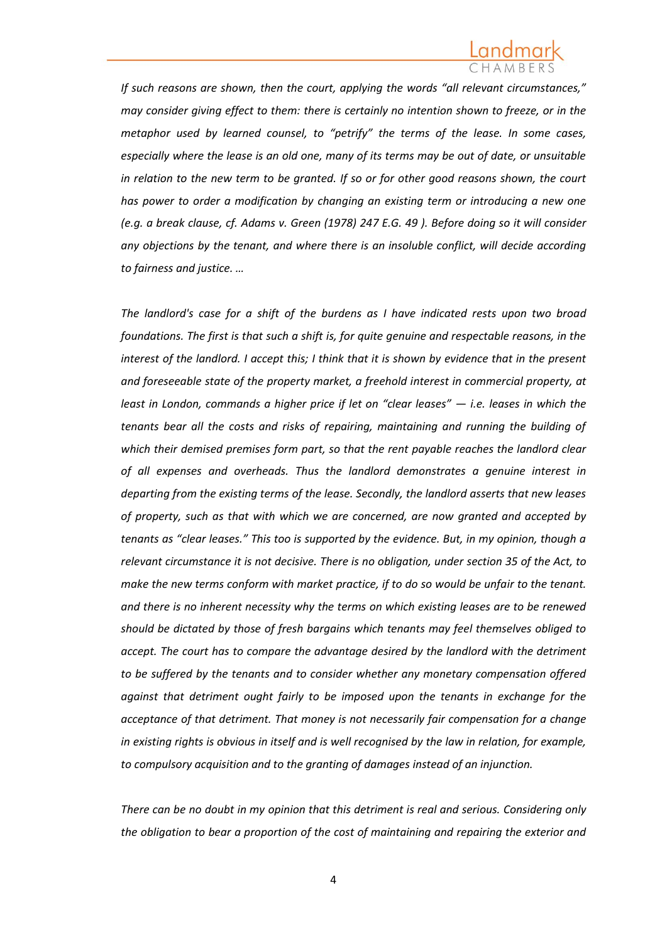*If such reasons are shown, then the court, applying the words "all relevant circumstances," may consider giving effect to them: there is certainly no intention shown to freeze, or in the metaphor used by learned counsel, to "petrify" the terms of the lease. In some cases, especially where the lease is an old one, many of its terms may be out of date, or unsuitable in relation to the new term to be granted. If so or for other good reasons shown, the court has power to order a modification by changing an existing term or introducing a new one (e.g. a break clause, cf. [Adams v. Green \(1978\) 247 E.G. 49](http://login.westlaw.co.uk/maf/wluk/app/document?src=doc&linktype=ref&&context=4&crumb-action=replace&docguid=I31929D70E43611DA8FC2A0F0355337E9) ). Before doing so it will consider any objections by the tenant, and where there is an insoluble conflict, will decide according to fairness and justice. …*

*The landlord's case for a shift of the burdens as I have indicated rests upon two broad foundations. The first is that such a shift is, for quite genuine and respectable reasons, in the interest of the landlord. I accept this; I think that it is shown by evidence that in the present and foreseeable state of the property market, a freehold interest in commercial property, at least in London, commands a higher price if let on "clear leases" — i.e. leases in which the tenants bear all the costs and risks of repairing, maintaining and running the building of which their demised premises form part, so that the rent payable reaches the landlord clear of all expenses and overheads. Thus the landlord demonstrates a genuine interest in departing from the existing terms of the lease. Secondly, the landlord asserts that new leases of property, such as that with which we are concerned, are now granted and accepted by tenants as "clear leases." This too is supported by the evidence. But, in my opinion, though a relevant circumstance it is not decisive. There is no obligation, under [section 35](http://login.westlaw.co.uk/maf/wluk/app/document?src=doc&linktype=ref&&context=4&crumb-action=replace&docguid=I6A369070E44811DA8D70A0E70A78ED65) of the Act, to make the new terms conform with market practice, if to do so would be unfair to the tenant. and there is no inherent necessity why the terms on which existing leases are to be renewed should be dictated by those of fresh bargains which tenants may feel themselves obliged to accept. The court has to compare the advantage desired by the landlord with the detriment to be suffered by the tenants and to consider whether any monetary compensation offered against that detriment ought fairly to be imposed upon the tenants in exchange for the acceptance of that detriment. That money is not necessarily fair compensation for a change in existing rights is obvious in itself and is well recognised by the law in relation, for example, to compulsory acquisition and to the granting of damages instead of an injunction.*

*There can be no doubt in my opinion that this detriment is real and serious. Considering only the obligation to bear a proportion of the cost of maintaining and repairing the exterior and*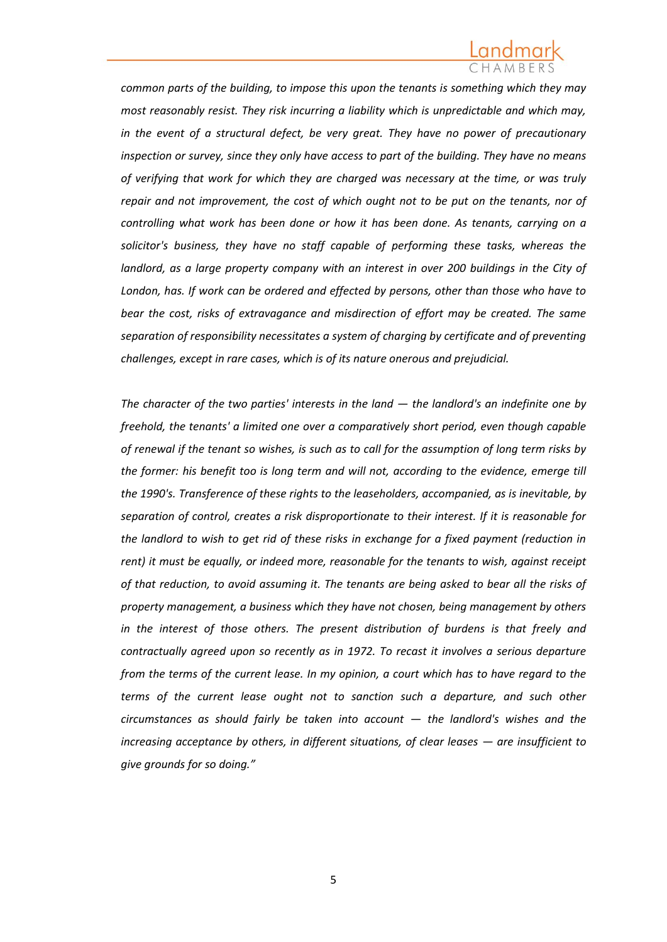*common parts of the building, to impose this upon the tenants is something which they may most reasonably resist. They risk incurring a liability which is unpredictable and which may, in the event of a structural defect, be very great. They have no power of precautionary inspection or survey, since they only have access to part of the building. They have no means of verifying that work for which they are charged was necessary at the time, or was truly repair and not improvement, the cost of which ought not to be put on the tenants, nor of controlling what work has been done or how it has been done. As tenants, carrying on a solicitor's business, they have no staff capable of performing these tasks, whereas the landlord, as a large property company with an interest in over 200 buildings in the City of London, has. If work can be ordered and effected by persons, other than those who have to bear the cost, risks of extravagance and misdirection of effort may be created. The same separation of responsibility necessitates a system of charging by certificate and of preventing challenges, except in rare cases, which is of its nature onerous and prejudicial.*

*The character of the two parties' interests in the land — the landlord's an indefinite one by freehold, the tenants' a limited one over a comparatively short period, even though capable of renewal if the tenant so wishes, is such as to call for the assumption of long term risks by the former: his benefit too is long term and will not, according to the evidence, emerge till the 1990's. Transference of these rights to the leaseholders, accompanied, as is inevitable, by separation of control, creates a risk disproportionate to their interest. If it is reasonable for the landlord to wish to get rid of these risks in exchange for a fixed payment (reduction in rent) it must be equally, or indeed more, reasonable for the tenants to wish, against receipt of that reduction, to avoid assuming it. The tenants are being asked to bear all the risks of property management, a business which they have not chosen, being management by others in the interest of those others. The present distribution of burdens is that freely and contractually agreed upon so recently as in 1972. To recast it involves a serious departure from the terms of the current lease. In my opinion, a court which has to have regard to the terms of the current lease ought not to sanction such a departure, and such other circumstances as should fairly be taken into account — the landlord's wishes and the increasing acceptance by others, in different situations, of clear leases — are insufficient to give grounds for so doing."*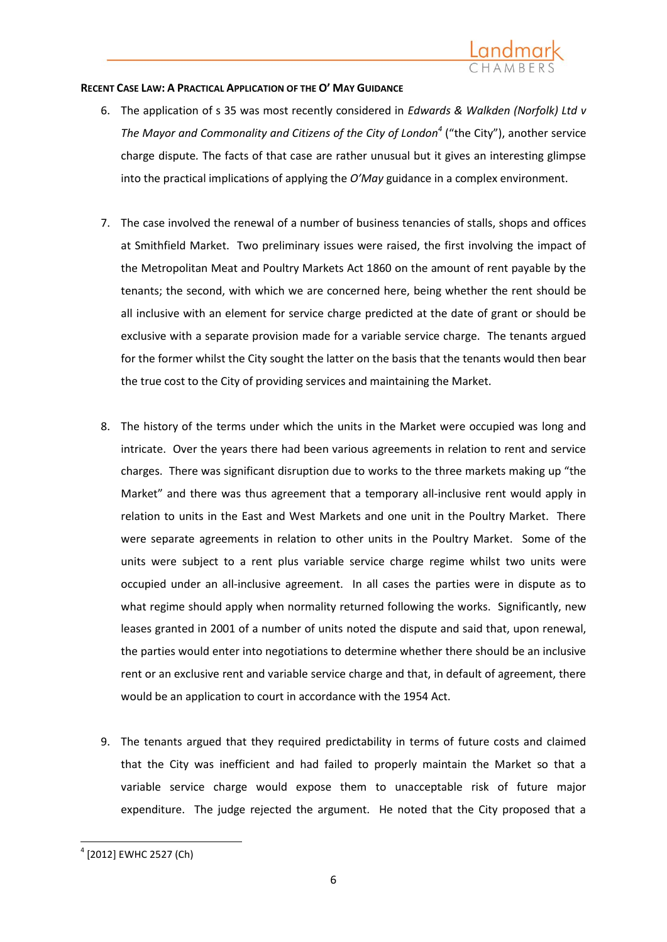# Landmark

## **RECENT CASE LAW: A PRACTICAL APPLICATION OF THE O' MAY GUIDANCE**

- 6. The application of s 35 was most recently considered in *Edwards & Walkden (Norfolk) Ltd v The Mayor and Commonality and Citizens of the City of London<sup>4</sup>* ("the City"), another service charge dispute*.* The facts of that case are rather unusual but it gives an interesting glimpse into the practical implications of applying the *O'May* guidance in a complex environment.
- 7. The case involved the renewal of a number of business tenancies of stalls, shops and offices at Smithfield Market. Two preliminary issues were raised, the first involving the impact of the Metropolitan Meat and Poultry Markets Act 1860 on the amount of rent payable by the tenants; the second, with which we are concerned here, being whether the rent should be all inclusive with an element for service charge predicted at the date of grant or should be exclusive with a separate provision made for a variable service charge. The tenants argued for the former whilst the City sought the latter on the basis that the tenants would then bear the true cost to the City of providing services and maintaining the Market.
- 8. The history of the terms under which the units in the Market were occupied was long and intricate. Over the years there had been various agreements in relation to rent and service charges. There was significant disruption due to works to the three markets making up "the Market" and there was thus agreement that a temporary all-inclusive rent would apply in relation to units in the East and West Markets and one unit in the Poultry Market. There were separate agreements in relation to other units in the Poultry Market. Some of the units were subject to a rent plus variable service charge regime whilst two units were occupied under an all-inclusive agreement. In all cases the parties were in dispute as to what regime should apply when normality returned following the works. Significantly, new leases granted in 2001 of a number of units noted the dispute and said that, upon renewal, the parties would enter into negotiations to determine whether there should be an inclusive rent or an exclusive rent and variable service charge and that, in default of agreement, there would be an application to court in accordance with the 1954 Act.
- 9. The tenants argued that they required predictability in terms of future costs and claimed that the City was inefficient and had failed to properly maintain the Market so that a variable service charge would expose them to unacceptable risk of future major expenditure. The judge rejected the argument. He noted that the City proposed that a

**<sup>.</sup>** 4 [2012] EWHC 2527 (Ch)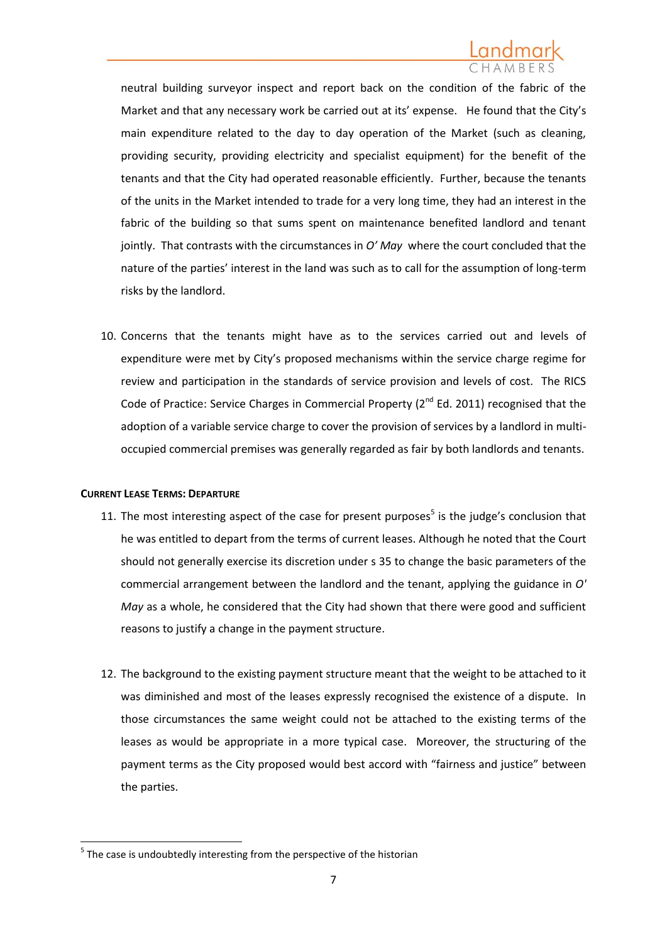neutral building surveyor inspect and report back on the condition of the fabric of the Market and that any necessary work be carried out at its' expense. He found that the City's main expenditure related to the day to day operation of the Market (such as cleaning, providing security, providing electricity and specialist equipment) for the benefit of the tenants and that the City had operated reasonable efficiently. Further, because the tenants of the units in the Market intended to trade for a very long time, they had an interest in the fabric of the building so that sums spent on maintenance benefited landlord and tenant jointly. That contrasts with the circumstances in *O' May* where the court concluded that the nature of the parties' interest in the land was such as to call for the assumption of long-term risks by the landlord.

10. Concerns that the tenants might have as to the services carried out and levels of expenditure were met by City's proposed mechanisms within the service charge regime for review and participation in the standards of service provision and levels of cost. The RICS Code of Practice: Service Charges in Commercial Property (2<sup>nd</sup> Ed. 2011) recognised that the adoption of a variable service charge to cover the provision of services by a landlord in multioccupied commercial premises was generally regarded as fair by both landlords and tenants.

## **CURRENT LEASE TERMS: DEPARTURE**

- 11. The most interesting aspect of the case for present purposes<sup>5</sup> is the judge's conclusion that he was entitled to depart from the terms of current leases. Although he noted that the Court should not generally exercise its discretion under s [35](http://login.westlaw.co.uk/maf/wluk/app/document?src=doc&linktype=ref&&context=13&crumb-action=replace&docguid=I6A369070E44811DA8D70A0E70A78ED65) to change the basic parameters of the commercial arrangement between the landlord and the tenant, applying the guidance in *O' May* as a whole, he considered that the City had shown that there were good and sufficient reasons to justify a change in the payment structure.
- 12. The background to the existing payment structure meant that the weight to be attached to it was diminished and most of the leases expressly recognised the existence of a dispute. In those circumstances the same weight could not be attached to the existing terms of the leases as would be appropriate in a more typical case. Moreover, the structuring of the payment terms as the City proposed would best accord with "fairness and justice" between the parties.

 $5$  The case is undoubtedly interesting from the perspective of the historian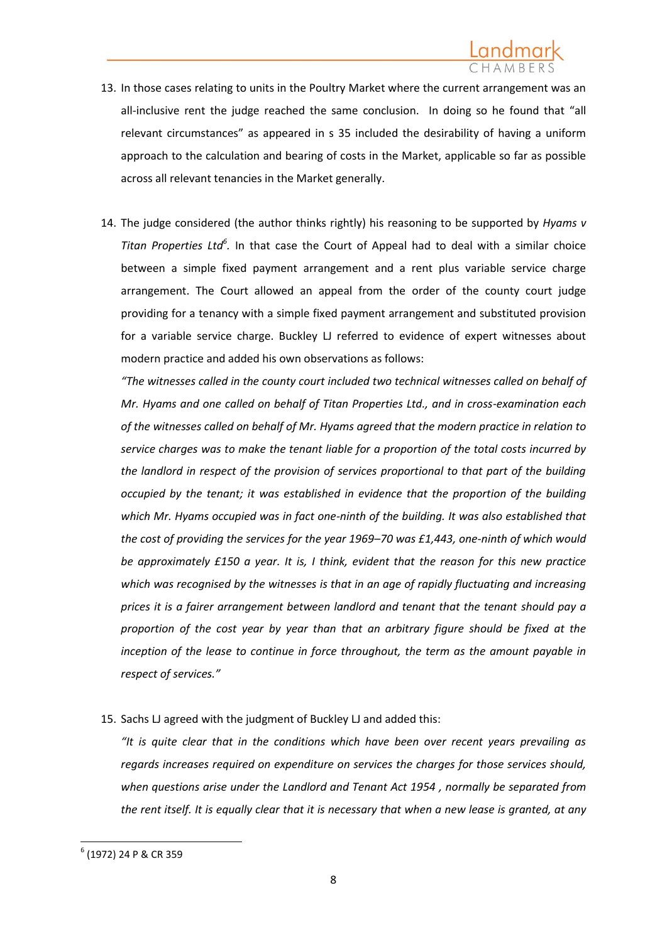- 13. In those cases relating to units in the Poultry Market where the current arrangement was an all-inclusive rent the judge reached the same conclusion. In doing so he found that "all relevant circumstances" as appeared in s 35 included the desirability of having a uniform approach to the calculation and bearing of costs in the Market, applicable so far as possible across all relevant tenancies in the Market generally.
- 14. The judge considered (the author thinks rightly) his reasoning to be supported by *[Hyams v](http://login.westlaw.co.uk/maf/wluk/app/document?src=doc&linktype=ref&&context=13&crumb-action=replace&docguid=IC59B07A0E42711DA8FC2A0F0355337E9)*  Titan Properties Lta<sup>6</sup>. In that case the Court of Appeal had to deal with a similar choice between a simple fixed payment arrangement and a rent plus variable service charge arrangement. The Court allowed an appeal from the order of the county court judge providing for a tenancy with a simple fixed payment arrangement and substituted provision for a variable service charge. Buckley LJ referred to evidence of expert witnesses about modern practice and added his own observations as follows:

*"The witnesses called in the county court included two technical witnesses called on behalf of Mr. Hyams and one called on behalf of Titan Properties Ltd., and in cross-examination each of the witnesses called on behalf of Mr. Hyams agreed that the modern practice in relation to service charges was to make the tenant liable for a proportion of the total costs incurred by the landlord in respect of the provision of services proportional to that part of the building occupied by the tenant; it was established in evidence that the proportion of the building which Mr. Hyams occupied was in fact one-ninth of the building. It was also established that the cost of providing the services for the year 1969–70 was £1,443, one-ninth of which would be approximately £150 a year. It is, I think, evident that the reason for this new practice which was recognised by the witnesses is that in an age of rapidly fluctuating and increasing prices it is a fairer arrangement between landlord and tenant that the tenant should pay a proportion of the cost year by year than that an arbitrary figure should be fixed at the inception of the lease to continue in force throughout, the term as the amount payable in respect of services."*

15. Sachs LJ agreed with the judgment of Buckley LJ and added this:

*"It is quite clear that in the conditions which have been over recent years prevailing as regards increases required on expenditure on services the charges for those services should, when questions arise under the [Landlord and Tenant Act 1954](http://login.westlaw.co.uk/maf/wluk/app/document?src=doc&linktype=ref&&context=13&crumb-action=replace&docguid=I609AB1B0E42311DAA7CF8F68F6EE57AB) , normally be separated from the rent itself. It is equally clear that it is necessary that when a new lease is granted, at any* 

 $^{\rm 6}$  (1972) 24 P & CR 359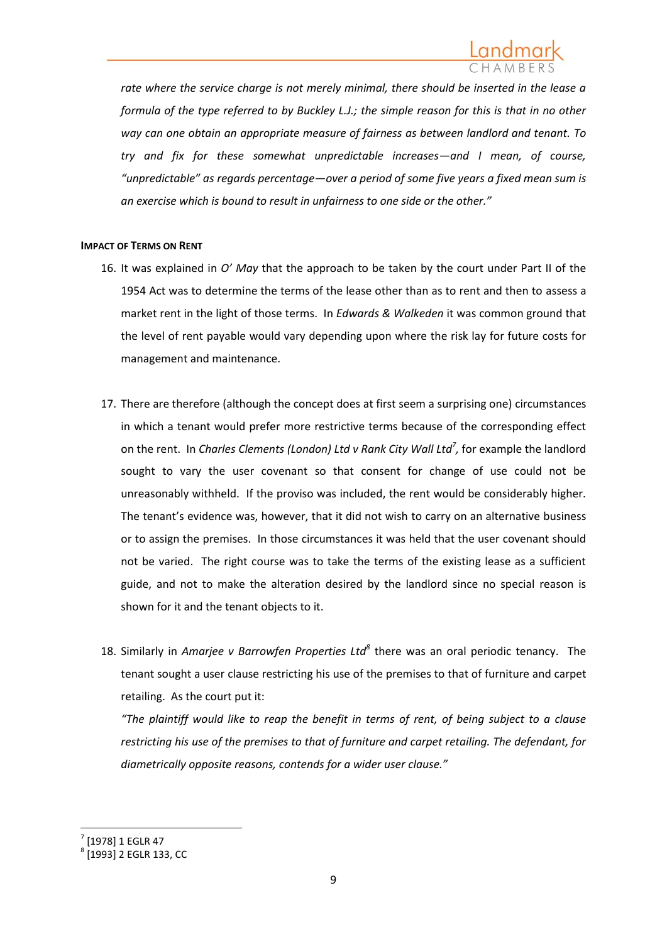*rate where the service charge is not merely minimal, there should be inserted in the lease a formula of the type referred to by Buckley L.J.; the simple reason for this is that in no other way can one obtain an appropriate measure of fairness as between landlord and tenant. To try and fix for these somewhat unpredictable increases—and I mean, of course, "unpredictable" as regards percentage—over a period of some five years a fixed mean sum is an exercise which is bound to result in unfairness to one side or the other."*

## **IMPACT OF TERMS ON RENT**

- 16. It was explained in *O' May* that the approach to be taken by the court under Part II of the 1954 Act was to determine the terms of the lease other than as to rent and then to assess a market rent in the light of those terms. In *Edwards & Walkeden* it was common ground that the level of rent payable would vary depending upon where the risk lay for future costs for management and maintenance.
- 17. There are therefore (although the concept does at first seem a surprising one) circumstances in which a tenant would prefer more restrictive terms because of the corresponding effect on the rent. In *Charles Clements (London) Ltd v Rank City Wall Ltd<sup>7</sup> ,* for example the landlord sought to vary the user covenant so that consent for change of use could not be unreasonably withheld. If the proviso was included, the rent would be considerably higher. The tenant's evidence was, however, that it did not wish to carry on an alternative business or to assign the premises. In those circumstances it was held that the user covenant should not be varied. The right course was to take the terms of the existing lease as a sufficient guide, and not to make the alteration desired by the landlord since no special reason is shown for it and the tenant objects to it.
- 18. Similarly in *Amarjee v Barrowfen Properties Ltd<sup>8</sup>* there was an oral periodic tenancy. The tenant sought a user clause restricting his use of the premises to that of furniture and carpet retailing. As the court put it:

*"The plaintiff would like to reap the benefit in terms of rent, of being subject to a clause restricting his use of the premises to that of furniture and carpet retailing. The defendant, for diametrically opposite reasons, contends for a wider user clause."*

<sup>7</sup> [1978] 1 EGLR 47

 $^8$  [1993] 2 EGLR 133, CC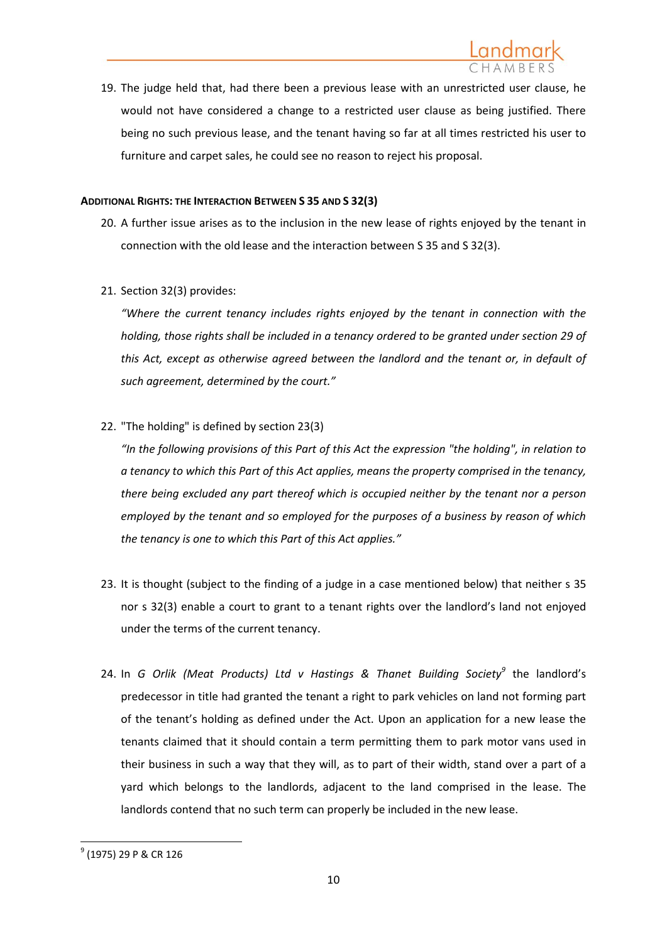

19. The judge held that, had there been a previous lease with an unrestricted user clause, he would not have considered a change to a restricted user clause as being justified. There being no such previous lease, and the tenant having so far at all times restricted his user to furniture and carpet sales, he could see no reason to reject his proposal.

## **ADDITIONAL RIGHTS: THE INTERACTION BETWEEN S 35 AND S 32(3)**

- 20. A further issue arises as to the inclusion in the new lease of rights enjoyed by the tenant in connection with the old lease and the interaction between S 35 and S 32(3).
- 21. Section 32(3) provides:

*"Where the current tenancy includes rights enjoyed by the tenant in connection with the holding, those rights shall be included in a tenancy ordered to be granted under section 29 of this Act, except as otherwise agreed between the landlord and the tenant or, in default of such agreement, determined by the court."*

22. "The holding" is defined by section 23(3)

*"In the following provisions of this Part of this Act the expression "the holding", in relation to a tenancy to which this Part of this Act applies, means the property comprised in the tenancy, there being excluded any part thereof which is occupied neither by the tenant nor a person employed by the tenant and so employed for the purposes of a business by reason of which the tenancy is one to which this Part of this Act applies."*

- 23. It is thought (subject to the finding of a judge in a case mentioned below) that neither s 35 nor s 32(3) enable a court to grant to a tenant rights over the landlord's land not enjoyed under the terms of the current tenancy.
- 24. In *G Orlik (Meat Products) Ltd v Hastings & Thanet Building Society<sup>9</sup>* the landlord's predecessor in title had granted the tenant a right to park vehicles on land not forming part of the tenant's holding as defined under the Act. Upon an application for a new lease the tenants claimed that it should contain a term permitting them to park motor vans used in their business in such a way that they will, as to part of their width, stand over a part of a yard which belongs to the landlords, adjacent to the land comprised in the lease. The landlords contend that no such term can properly be included in the new lease.

 $^{\mathrm{9}}$  (1975) 29 P & CR 126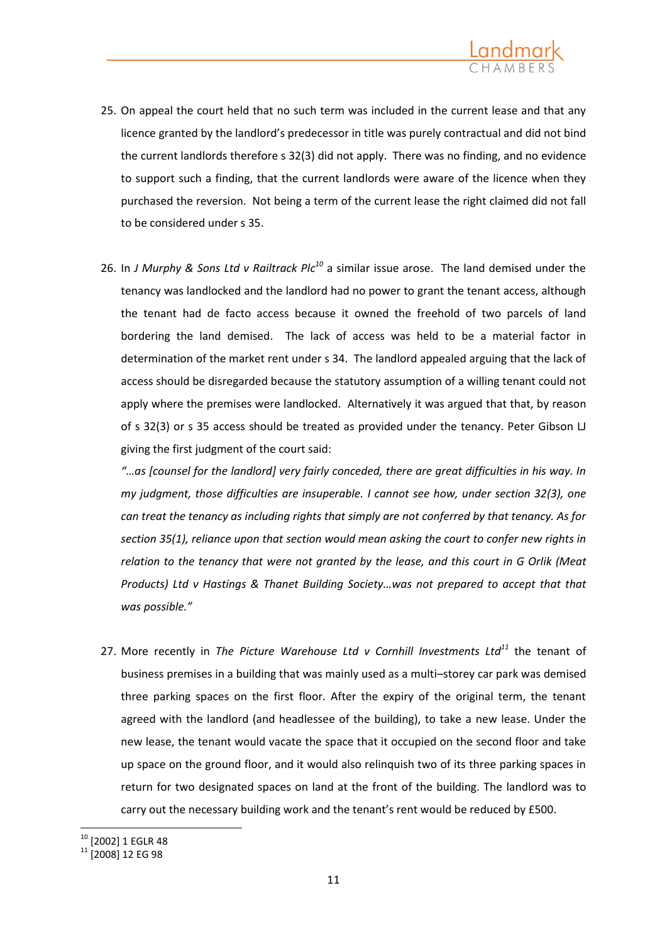

- 25. On appeal the court held that no such term was included in the current lease and that any licence granted by the landlord's predecessor in title was purely contractual and did not bind the current landlords therefore s 32(3) did not apply. There was no finding, and no evidence to support such a finding, that the current landlords were aware of the licence when they purchased the reversion. Not being a term of the current lease the right claimed did not fall to be considered under s 35.
- 26. In *J Murphy & Sons Ltd v Railtrack Plc<sup>10</sup>* a similar issue arose. The land demised under the tenancy was landlocked and the landlord had no power to grant the tenant access, although the tenant had de facto access because it owned the freehold of two parcels of land bordering the land demised. The lack of access was held to be a material factor in determination of the market rent under s 34. The landlord appealed arguing that the lack of access should be disregarded because the statutory assumption of a willing tenant could not apply where the premises were landlocked. Alternatively it was argued that that, by reason of s 32(3) or s 35 access should be treated as provided under the tenancy. Peter Gibson LJ giving the first judgment of the court said:

*"…as [counsel for the landlord] very fairly conceded, there are great difficulties in his way. In my judgment, those difficulties are insuperable. I cannot see how, under section 32(3), one can treat the tenancy as including rights that simply are not conferred by that tenancy. As for section 35(1), reliance upon that section would mean asking the court to confer new rights in relation to the tenancy that were not granted by the lease, and this court in G Orlik (Meat Products) Ltd v Hastings & Thanet Building Society…was not prepared to accept that that was possible."*

27. More recently in *The Picture Warehouse Ltd v Cornhill Investments Ltd<sup>11</sup>* the tenant of business premises in a building that was mainly used as a multi–storey car park was demised three parking spaces on the first floor. After the expiry of the original term, the tenant agreed with the landlord (and headlessee of the building), to take a new lease. Under the new lease, the tenant would vacate the space that it occupied on the second floor and take up space on the ground floor, and it would also relinquish two of its three parking spaces in return for two designated spaces on land at the front of the building. The landlord was to carry out the necessary building work and the tenant's rent would be reduced by £500.

<sup>10</sup> [2002] 1 EGLR 48

<sup>&</sup>lt;sup>11</sup> [2008] 12 EG 98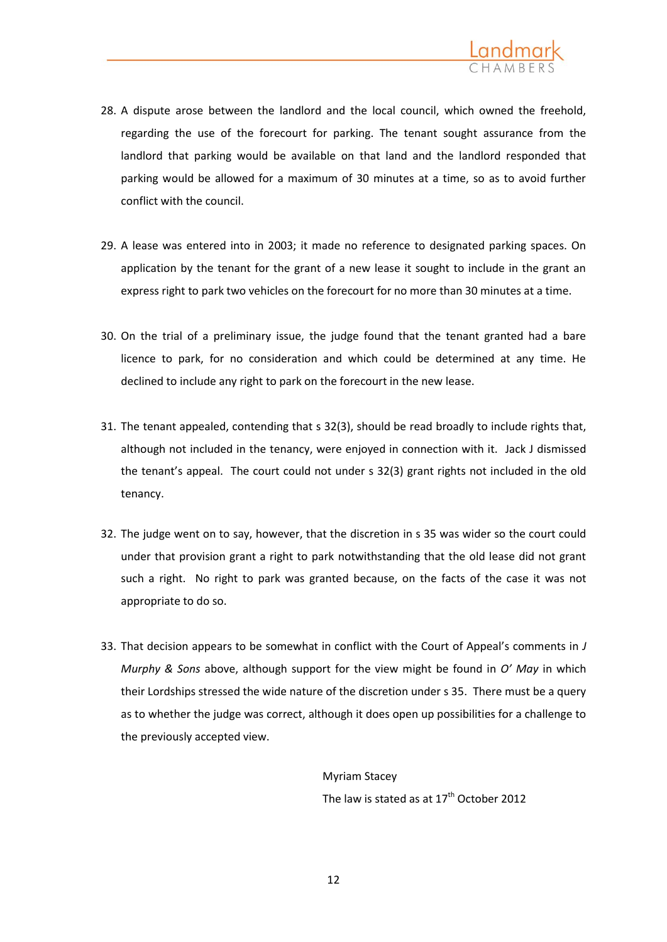

- 28. A dispute arose between the landlord and the local council, which owned the freehold, regarding the use of the forecourt for parking. The tenant sought assurance from the landlord that parking would be available on that land and the landlord responded that parking would be allowed for a maximum of 30 minutes at a time, so as to avoid further conflict with the council.
- 29. A lease was entered into in 2003; it made no reference to designated parking spaces. On application by the tenant for the grant of a new lease it sought to include in the grant an express right to park two vehicles on the forecourt for no more than 30 minutes at a time.
- 30. On the trial of a preliminary issue, the judge found that the tenant granted had a bare licence to park, for no consideration and which could be determined at any time. He declined to include any right to park on the forecourt in the new lease.
- 31. The tenant appealed, contending that s 32(3), should be read broadly to include rights that, although not included in the tenancy, were enjoyed in connection with it. Jack J dismissed the tenant's appeal. The court could not under s 32(3) grant rights not included in the old tenancy.
- 32. The judge went on to say, however, that the discretion in s 35 was wider so the court could under that provision grant a right to park notwithstanding that the old lease did not grant such a right. No right to park was granted because, on the facts of the case it was not appropriate to do so.
- 33. That decision appears to be somewhat in conflict with the Court of Appeal's comments in *J Murphy & Sons* above, although support for the view might be found in *O' May* in which their Lordships stressed the wide nature of the discretion under s 35. There must be a query as to whether the judge was correct, although it does open up possibilities for a challenge to the previously accepted view.

Myriam Stacey The law is stated as at  $17<sup>th</sup>$  October 2012